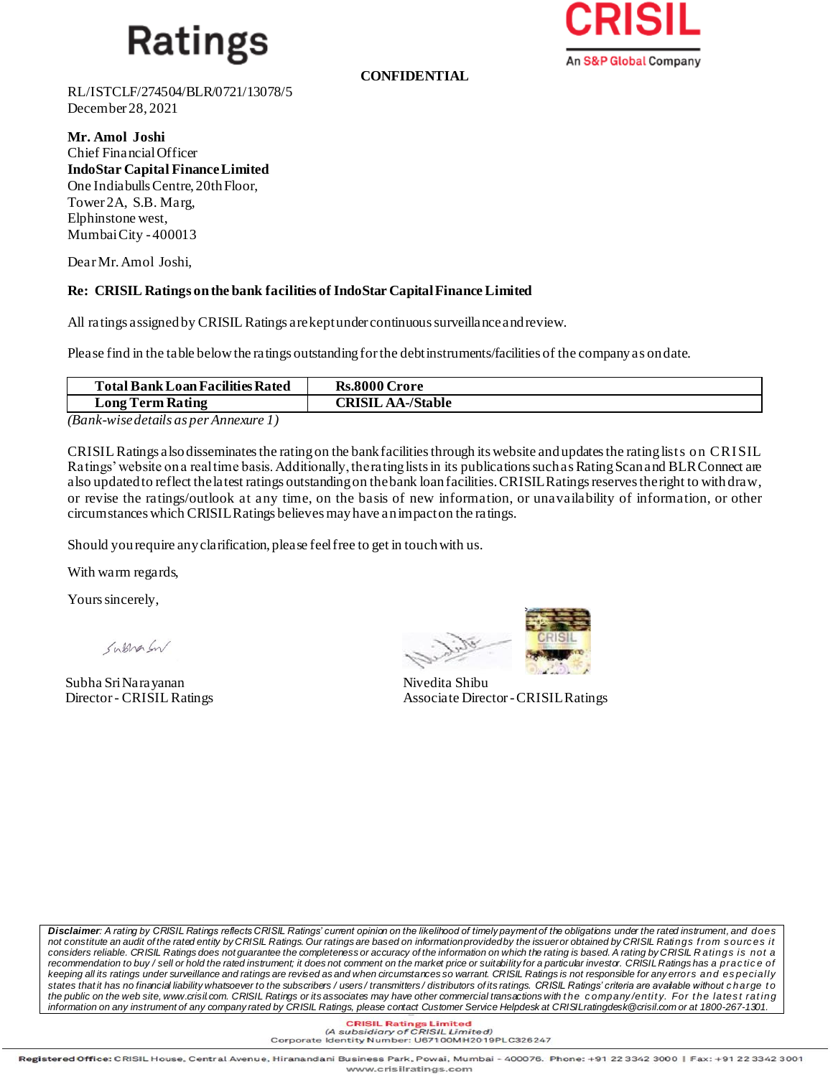## **Ratings**

**CONFIDENTIAL**



RL/ISTCLF/274504/BLR/0721/13078/5 December 28, 2021

**Mr. Amol Joshi**  Chief FinancialOfficer **IndoStar Capital FinanceLimited** One Indiabulls Centre, 20th Floor, Tower 2A, S.B. Marg, Elphinstone west, Mumbai City - 400013

Dear Mr.Amol Joshi,

## **Re: CRISIL Ratings on the bank facilities of IndoStar Capital Finance Limited**

All ratings assigned by CRISIL Ratings are kept under continuous surveillance and review.

Please find in the table below the ratings outstanding for the debt instruments/facilities of the company as on date.

| <b>Total Bank Loan Facilities Rated</b> | <b>Rs.8000 Crore</b>     |
|-----------------------------------------|--------------------------|
| Long Term Rating                        | <b>CRISIL AA-/Stable</b> |
| -<br>$\sim$ $\sim$                      |                          |

*(Bank-wise details as per Annexure 1)*

CRISIL Ratings also disseminates the rating on the bank facilities through its website and updates the rating lists on CRI SIL Ratings' website on a real time basis. Additionally, the rating lists in its publications such as Rating Scan and BLR Connect are also updated to reflect the latest ratings outstanding on the bank loan facilities. CRISIL Ratings reserves the right to with draw, or revise the ratings/outlook at any time, on the basis of new information, or unavailability of information, or other circumstances which CRISIL Ratings believes may have an impact on the ratings.

Should you require any clarification, please feel free to get in touch with us.

With warm regards,

Yours sincerely,

Systema En

Subha Sri Narayanan Nivedita Shibu



Director- CRISIL Ratings Associate Director-CRISILRatings

*Disclaimer: A rating by CRISIL Ratings reflects CRISIL Ratings' current opinion on the likelihood of timely payment of the obligations under the rated instrument, and does not constitute an audit of the rated entity by CRISIL Ratings. Our ratings are based on information provided by the issuer or obtained by CRISIL Ratings f rom s ourc es it*  considers reliable. CRISIL Ratings does not guarantee the completeness or accuracy of the information on which the rating is based. A rating by CRISIL Ratings is not a *recommendation to buy / sell or hold the rated instrument; it does not comment on the market price or suitability for a particular investor. CRISIL Ratings has a prac tic e of keeping all its ratings under surveillance and ratings are revised as and when circumstances so warrant. CRISIL Ratings is not responsible for any errors and es pecially states that it has no financial liability whatsoever to the subscribers / users / transmitters / distributors of its ratings. CRISIL Ratings' criteria are available without c h arge t o*  the public on the web site, www.crisil.com. CRISIL Ratings or its associates may have other commercial transactions with the company/entity. For the latest rating *information on any instrument of any company rated by CRISIL Ratings, please contact Customer Service Helpdesk at CRISILratingdesk@crisil.com or at 1800-267-1301.*